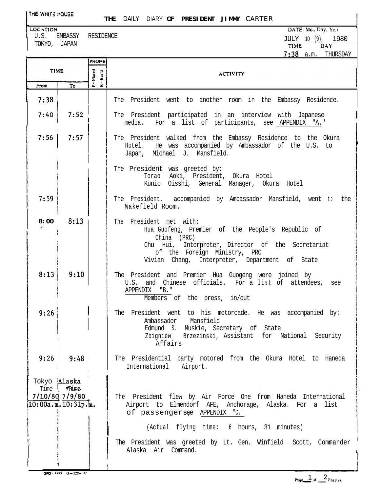**THE** DAILY DIARY **OF PRESIDENT JIMMY** CARTER

U.S. EMBASSY RESIDENCE TOKYO, JAPAN

**LOCATION** DATE (Mo., Day, Yr.) JULY 10 (9), 1980 **T1ME DAY 7:38** a.m. THURSDAY

|                                                         |                        | PHONE               | 1:J0 d.III.<br><b>TUOLODHI</b>                                                                                                                                                                                                    |
|---------------------------------------------------------|------------------------|---------------------|-----------------------------------------------------------------------------------------------------------------------------------------------------------------------------------------------------------------------------------|
| <b>TIME</b>                                             |                        | P=Placed<br>Kec'd   | <b>ACTIVITY</b>                                                                                                                                                                                                                   |
| From                                                    | To                     | $\ddot{\mathbf{x}}$ |                                                                                                                                                                                                                                   |
| 7:38                                                    |                        |                     | The President went to another room in the Embassy Residence.                                                                                                                                                                      |
| 7:40                                                    | 7:52                   |                     | The President participated in an interview with Japanese<br>media. For a list of participants, see APPENDIX "A."                                                                                                                  |
| 7:56                                                    | 7:57                   |                     | The President walked from the Embassy Residence to the Okura<br>Hotel. He was accompanied by Ambassador of the U.S. to<br>Japan, Michael J. Mansfield.                                                                            |
|                                                         |                        |                     | The President was greeted by:<br>Torao Aoki, President, Okura Hotel<br>Kunio Oisshi, General Manager, Okura Hotel                                                                                                                 |
| 7:59                                                    |                        |                     | The President, accompanied by Ambassador Mansfield, went to the<br>Wakefield Room.                                                                                                                                                |
| 8:00                                                    | 8:13                   |                     | The President met with:<br>Hua Guofeng, Premier of the People's Republic of<br>China (PRC)<br>Chu Hui, Interpreter, Director of the Secretariat<br>of the Foreign Ministry, PRC<br>Vivian Chang, Interpreter, Department of State |
| 8:13                                                    | 9:10                   |                     | The President and Premier Hua Guogeng were joined by<br>and Chinese officials. For a list of attendees, see<br>U.S.<br>APPENDIX "B."<br>Members of the press, in/out                                                              |
| 9:26                                                    |                        |                     | The President went to his motorcade. He was accompanied by:<br>Ambassador Mansfield<br>Edmund S. Muskie, Secretary of State<br>Zbigniew Brzezinski, Assistant for National Security<br>Affairs                                    |
|                                                         | $9:26$ 9:48            |                     | The Presidential party motored from the Okura Hotel to Haneda<br>International Airport.                                                                                                                                           |
| Tokyo Alaska<br>Time<br>$10:00a.m.\overline{10:31p.m.}$ | Time<br>7/10/80 7/9/80 |                     | The President flew by Air Force One from Haneda International<br>Airport to Elmendorf AFE, Anchorage, Alaska. For a list<br>of passengersee APPENDIX "C."<br>(Actual flying time: 6 hours, 31 minutes)                            |
|                                                         |                        |                     | The President was greeted by Lt. Gen. Winfield Scott, Commander<br>Alaska Air Command.                                                                                                                                            |